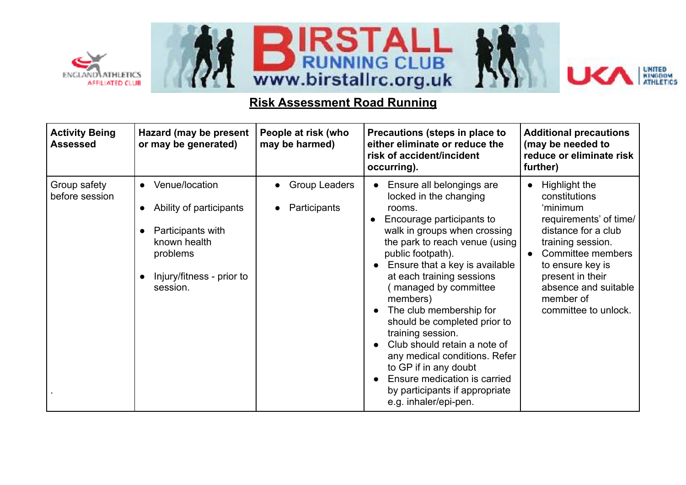



UNITED<br>KINGDOM<br>ATHLETICS



| <b>Activity Being</b><br><b>Assessed</b> | Hazard (may be present<br>or may be generated)                                                                                                   | People at risk (who<br>may be harmed) | Precautions (steps in place to<br>either eliminate or reduce the<br>risk of accident/incident<br>occurring).                                                                                                                                                                                                                                                                                                                                                                                                                                                           | <b>Additional precautions</b><br>(may be needed to<br>reduce or eliminate risk<br>further)                                                                                                                                                 |
|------------------------------------------|--------------------------------------------------------------------------------------------------------------------------------------------------|---------------------------------------|------------------------------------------------------------------------------------------------------------------------------------------------------------------------------------------------------------------------------------------------------------------------------------------------------------------------------------------------------------------------------------------------------------------------------------------------------------------------------------------------------------------------------------------------------------------------|--------------------------------------------------------------------------------------------------------------------------------------------------------------------------------------------------------------------------------------------|
| Group safety<br>before session           | Venue/location<br>$\bullet$<br>Ability of participants<br>Participants with<br>known health<br>problems<br>Injury/fitness - prior to<br>session. | <b>Group Leaders</b><br>Participants  | Ensure all belongings are<br>locked in the changing<br>rooms.<br>Encourage participants to<br>walk in groups when crossing<br>the park to reach venue (using<br>public footpath).<br>Ensure that a key is available<br>at each training sessions<br>managed by committee<br>members)<br>The club membership for<br>should be completed prior to<br>training session.<br>Club should retain a note of<br>$\bullet$<br>any medical conditions. Refer<br>to GP if in any doubt<br>Ensure medication is carried<br>by participants if appropriate<br>e.g. inhaler/epi-pen. | Highlight the<br>constitutions<br>'minimum<br>requirements' of time/<br>distance for a club<br>training session.<br>Committee members<br>to ensure key is<br>present in their<br>absence and suitable<br>member of<br>committee to unlock. |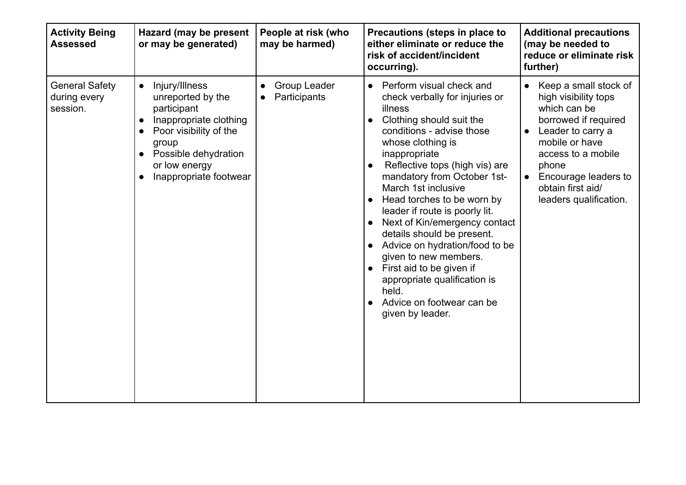| <b>Activity Being</b><br><b>Assessed</b>          | <b>Hazard (may be present</b><br>or may be generated)                                                                                                                                                                     | People at risk (who<br>may be harmed)     | Precautions (steps in place to<br>either eliminate or reduce the<br>risk of accident/incident<br>occurring).                                                                                                                                                                                                                                                                                                                                                                                                                                                                                                          | <b>Additional precautions</b><br>(may be needed to<br>reduce or eliminate risk<br>further)                                                                                                                                                                                |
|---------------------------------------------------|---------------------------------------------------------------------------------------------------------------------------------------------------------------------------------------------------------------------------|-------------------------------------------|-----------------------------------------------------------------------------------------------------------------------------------------------------------------------------------------------------------------------------------------------------------------------------------------------------------------------------------------------------------------------------------------------------------------------------------------------------------------------------------------------------------------------------------------------------------------------------------------------------------------------|---------------------------------------------------------------------------------------------------------------------------------------------------------------------------------------------------------------------------------------------------------------------------|
| <b>General Safety</b><br>during every<br>session. | Injury/Illness<br>$\bullet$<br>unreported by the<br>participant<br>Inappropriate clothing<br>Poor visibility of the<br>$\bullet$<br>group<br>Possible dehydration<br>or low energy<br>Inappropriate footwear<br>$\bullet$ | Group Leader<br>$\bullet$<br>Participants | • Perform visual check and<br>check verbally for injuries or<br>illness<br>Clothing should suit the<br>conditions - advise those<br>whose clothing is<br>inappropriate<br>Reflective tops (high vis) are<br>$\bullet$<br>mandatory from October 1st-<br>March 1st inclusive<br>Head torches to be worn by<br>leader if route is poorly lit.<br>Next of Kin/emergency contact<br>$\bullet$<br>details should be present.<br>Advice on hydration/food to be<br>given to new members.<br>First aid to be given if<br>$\bullet$<br>appropriate qualification is<br>held.<br>Advice on footwear can be<br>given by leader. | Keep a small stock of<br>$\bullet$<br>high visibility tops<br>which can be<br>borrowed if required<br>Leader to carry a<br>$\bullet$<br>mobile or have<br>access to a mobile<br>phone<br>Encourage leaders to<br>$\bullet$<br>obtain first aid/<br>leaders qualification. |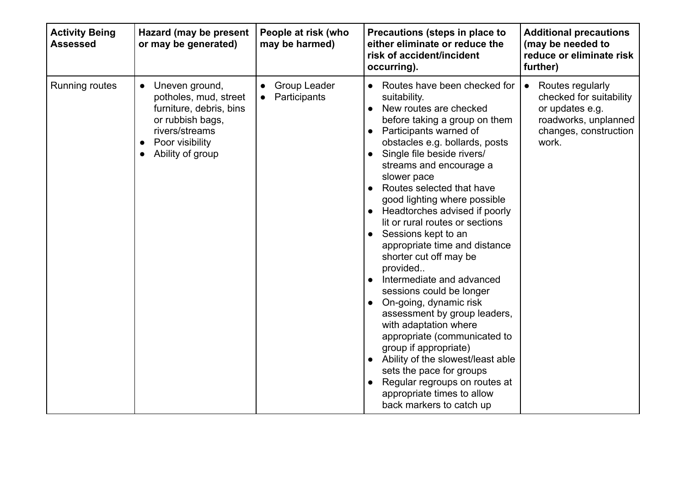| <b>Activity Being</b><br><b>Assessed</b> | <b>Hazard (may be present</b><br>or may be generated)                                                                                                        | People at risk (who<br>may be harmed) | Precautions (steps in place to<br>either eliminate or reduce the<br>risk of accident/incident<br>occurring).                                                                                                                                                                                                                                                                                                                                                                                                                                                                                                                                                                                                                                                                                                                                                          | <b>Additional precautions</b><br>(may be needed to<br>reduce or eliminate risk<br>further)                                            |
|------------------------------------------|--------------------------------------------------------------------------------------------------------------------------------------------------------------|---------------------------------------|-----------------------------------------------------------------------------------------------------------------------------------------------------------------------------------------------------------------------------------------------------------------------------------------------------------------------------------------------------------------------------------------------------------------------------------------------------------------------------------------------------------------------------------------------------------------------------------------------------------------------------------------------------------------------------------------------------------------------------------------------------------------------------------------------------------------------------------------------------------------------|---------------------------------------------------------------------------------------------------------------------------------------|
| <b>Running routes</b>                    | Uneven ground,<br>$\bullet$<br>potholes, mud, street<br>furniture, debris, bins<br>or rubbish bags,<br>rivers/streams<br>Poor visibility<br>Ability of group | Group Leader<br>Participants          | Routes have been checked for<br>suitability.<br>New routes are checked<br>$\bullet$<br>before taking a group on them<br>Participants warned of<br>obstacles e.g. bollards, posts<br>Single file beside rivers/<br>streams and encourage a<br>slower pace<br>Routes selected that have<br>good lighting where possible<br>Headtorches advised if poorly<br>lit or rural routes or sections<br>Sessions kept to an<br>$\bullet$<br>appropriate time and distance<br>shorter cut off may be<br>provided<br>Intermediate and advanced<br>sessions could be longer<br>On-going, dynamic risk<br>assessment by group leaders,<br>with adaptation where<br>appropriate (communicated to<br>group if appropriate)<br>Ability of the slowest/least able<br>sets the pace for groups<br>Regular regroups on routes at<br>appropriate times to allow<br>back markers to catch up | Routes regularly<br>$\bullet$<br>checked for suitability<br>or updates e.g.<br>roadworks, unplanned<br>changes, construction<br>work. |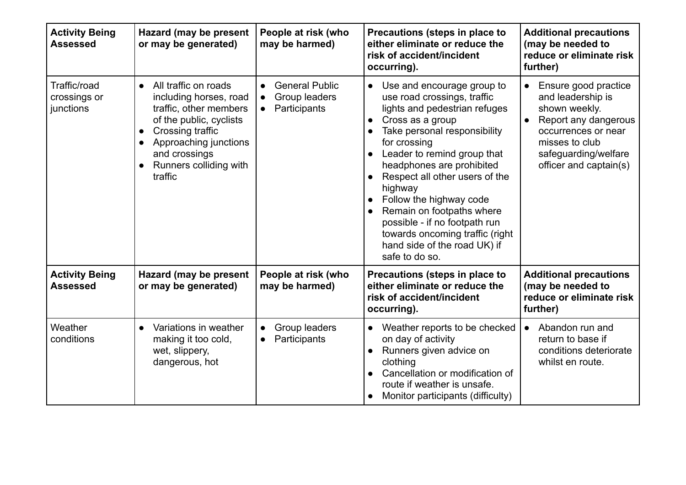| <b>Activity Being</b><br><b>Assessed</b>  | Hazard (may be present<br>or may be generated)                                                                                                                                                                                   | People at risk (who<br>may be harmed)                                                         | Precautions (steps in place to<br>either eliminate or reduce the<br>risk of accident/incident<br>occurring).                                                                                                                                                                                                                                                                                                                                                                    | <b>Additional precautions</b><br>(may be needed to<br>reduce or eliminate risk<br>further)                                                                                                              |
|-------------------------------------------|----------------------------------------------------------------------------------------------------------------------------------------------------------------------------------------------------------------------------------|-----------------------------------------------------------------------------------------------|---------------------------------------------------------------------------------------------------------------------------------------------------------------------------------------------------------------------------------------------------------------------------------------------------------------------------------------------------------------------------------------------------------------------------------------------------------------------------------|---------------------------------------------------------------------------------------------------------------------------------------------------------------------------------------------------------|
| Traffic/road<br>crossings or<br>junctions | All traffic on roads<br>$\bullet$<br>including horses, road<br>traffic, other members<br>of the public, cyclists<br>Crossing traffic<br>Approaching junctions<br>$\bullet$<br>and crossings<br>Runners colliding with<br>traffic | <b>General Public</b><br>$\bullet$<br>Group leaders<br>$\bullet$<br>Participants<br>$\bullet$ | Use and encourage group to<br>$\bullet$<br>use road crossings, traffic<br>lights and pedestrian refuges<br>Cross as a group<br>Take personal responsibility<br>for crossing<br>Leader to remind group that<br>headphones are prohibited<br>Respect all other users of the<br>highway<br>Follow the highway code<br>$\bullet$<br>Remain on footpaths where<br>possible - if no footpath run<br>towards oncoming traffic (right<br>hand side of the road UK) if<br>safe to do so. | Ensure good practice<br>$\bullet$<br>and leadership is<br>shown weekly.<br>Report any dangerous<br>$\bullet$<br>occurrences or near<br>misses to club<br>safeguarding/welfare<br>officer and captain(s) |
| <b>Activity Being</b><br><b>Assessed</b>  | <b>Hazard (may be present</b><br>or may be generated)                                                                                                                                                                            | People at risk (who<br>may be harmed)                                                         | Precautions (steps in place to<br>either eliminate or reduce the<br>risk of accident/incident<br>occurring).                                                                                                                                                                                                                                                                                                                                                                    | <b>Additional precautions</b><br>(may be needed to<br>reduce or eliminate risk<br>further)                                                                                                              |
| Weather<br>conditions                     | Variations in weather<br>$\bullet$<br>making it too cold,<br>wet, slippery,<br>dangerous, hot                                                                                                                                    | Group leaders<br>$\bullet$<br>Participants                                                    | Weather reports to be checked<br>$\bullet$<br>on day of activity<br>Runners given advice on<br>$\bullet$<br>clothing<br>Cancellation or modification of<br>$\bullet$<br>route if weather is unsafe.<br>Monitor participants (difficulty)                                                                                                                                                                                                                                        | Abandon run and<br>$\bullet$<br>return to base if<br>conditions deteriorate<br>whilst en route.                                                                                                         |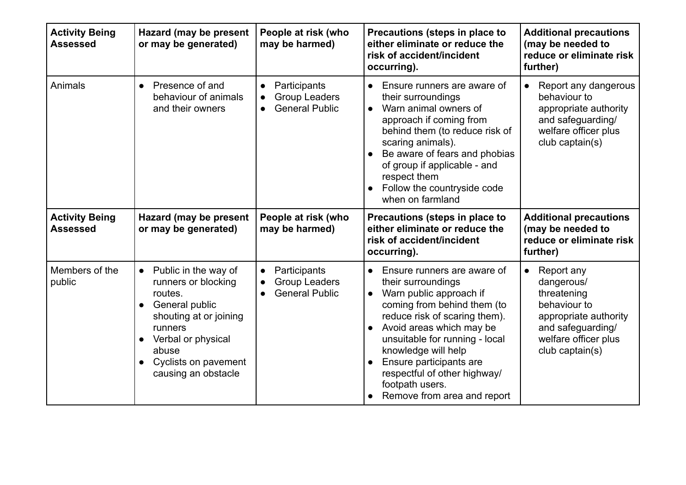| <b>Activity Being</b><br><b>Assessed</b> | <b>Hazard (may be present</b><br>or may be generated)                                                                                                                                                                 | People at risk (who<br>may be harmed)                                                                | Precautions (steps in place to<br>either eliminate or reduce the<br>risk of accident/incident<br>occurring).                                                                                                                                                                                                                                                                                       | <b>Additional precautions</b><br>(may be needed to<br>reduce or eliminate risk<br>further)                                                                    |
|------------------------------------------|-----------------------------------------------------------------------------------------------------------------------------------------------------------------------------------------------------------------------|------------------------------------------------------------------------------------------------------|----------------------------------------------------------------------------------------------------------------------------------------------------------------------------------------------------------------------------------------------------------------------------------------------------------------------------------------------------------------------------------------------------|---------------------------------------------------------------------------------------------------------------------------------------------------------------|
| Animals                                  | Presence of and<br>$\bullet$<br>behaviour of animals<br>and their owners                                                                                                                                              | Participants<br>$\bullet$<br><b>Group Leaders</b><br>$\bullet$<br><b>General Public</b><br>$\bullet$ | Ensure runners are aware of<br>$\bullet$<br>their surroundings<br>Warn animal owners of<br>$\bullet$<br>approach if coming from<br>behind them (to reduce risk of<br>scaring animals).<br>Be aware of fears and phobias<br>of group if applicable - and<br>respect them<br>Follow the countryside code<br>$\bullet$<br>when on farmland                                                            | Report any dangerous<br>$\bullet$<br>behaviour to<br>appropriate authority<br>and safeguarding/<br>welfare officer plus<br>club captain(s)                    |
| <b>Activity Being</b><br><b>Assessed</b> | Hazard (may be present<br>or may be generated)                                                                                                                                                                        | People at risk (who<br>may be harmed)                                                                | Precautions (steps in place to<br>either eliminate or reduce the<br>risk of accident/incident<br>occurring).                                                                                                                                                                                                                                                                                       | <b>Additional precautions</b><br>(may be needed to<br>reduce or eliminate risk<br>further)                                                                    |
| Members of the<br>public                 | Public in the way of<br>$\bullet$<br>runners or blocking<br>routes.<br>General public<br>shouting at or joining<br>runners<br>Verbal or physical<br>abuse<br>Cyclists on pavement<br>$\bullet$<br>causing an obstacle | Participants<br>$\bullet$<br><b>Group Leaders</b><br><b>General Public</b>                           | Ensure runners are aware of<br>$\bullet$<br>their surroundings<br>Warn public approach if<br>$\bullet$<br>coming from behind them (to<br>reduce risk of scaring them).<br>Avoid areas which may be<br>$\bullet$<br>unsuitable for running - local<br>knowledge will help<br>Ensure participants are<br>$\bullet$<br>respectful of other highway/<br>footpath users.<br>Remove from area and report | Report any<br>$\bullet$<br>dangerous/<br>threatening<br>behaviour to<br>appropriate authority<br>and safeguarding/<br>welfare officer plus<br>club captain(s) |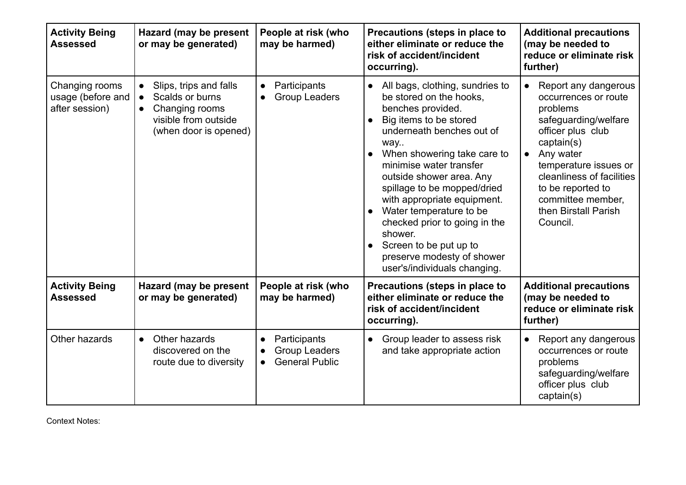| <b>Activity Being</b><br><b>Assessed</b>              | Hazard (may be present<br>or may be generated)                                                                                                      | People at risk (who<br>may be harmed)                                                   | Precautions (steps in place to<br>either eliminate or reduce the<br>risk of accident/incident<br>occurring).                                                                                                                                                                                                                                                                                                                                                     | <b>Additional precautions</b><br>(may be needed to<br>reduce or eliminate risk<br>further)                                                                                                                                                                                                           |
|-------------------------------------------------------|-----------------------------------------------------------------------------------------------------------------------------------------------------|-----------------------------------------------------------------------------------------|------------------------------------------------------------------------------------------------------------------------------------------------------------------------------------------------------------------------------------------------------------------------------------------------------------------------------------------------------------------------------------------------------------------------------------------------------------------|------------------------------------------------------------------------------------------------------------------------------------------------------------------------------------------------------------------------------------------------------------------------------------------------------|
| Changing rooms<br>usage (before and<br>after session) | Slips, trips and falls<br>$\bullet$<br>Scalds or burns<br>$\bullet$<br>Changing rooms<br>$\bullet$<br>visible from outside<br>(when door is opened) | Participants<br>$\bullet$<br><b>Group Leaders</b><br>$\bullet$                          | All bags, clothing, sundries to<br>be stored on the hooks.<br>benches provided.<br>Big items to be stored<br>underneath benches out of<br>way<br>When showering take care to<br>minimise water transfer<br>outside shower area. Any<br>spillage to be mopped/dried<br>with appropriate equipment.<br>Water temperature to be<br>checked prior to going in the<br>shower.<br>Screen to be put up to<br>preserve modesty of shower<br>user's/individuals changing. | Report any dangerous<br>$\bullet$<br>occurrences or route<br>problems<br>safeguarding/welfare<br>officer plus club<br>$c$ aptain $(s)$<br>Any water<br>$\bullet$<br>temperature issues or<br>cleanliness of facilities<br>to be reported to<br>committee member,<br>then Birstall Parish<br>Council. |
| <b>Activity Being</b><br><b>Assessed</b>              | <b>Hazard (may be present</b><br>or may be generated)                                                                                               | People at risk (who<br>may be harmed)                                                   | Precautions (steps in place to<br>either eliminate or reduce the<br>risk of accident/incident<br>occurring).                                                                                                                                                                                                                                                                                                                                                     | <b>Additional precautions</b><br>(may be needed to<br>reduce or eliminate risk<br>further)                                                                                                                                                                                                           |
| Other hazards                                         | Other hazards<br>$\bullet$<br>discovered on the<br>route due to diversity                                                                           | Participants<br>$\bullet$<br><b>Group Leaders</b><br><b>General Public</b><br>$\bullet$ | Group leader to assess risk<br>and take appropriate action                                                                                                                                                                                                                                                                                                                                                                                                       | Report any dangerous<br>$\bullet$<br>occurrences or route<br>problems<br>safeguarding/welfare<br>officer plus club<br>$c$ aptain $(s)$                                                                                                                                                               |

Context Notes: